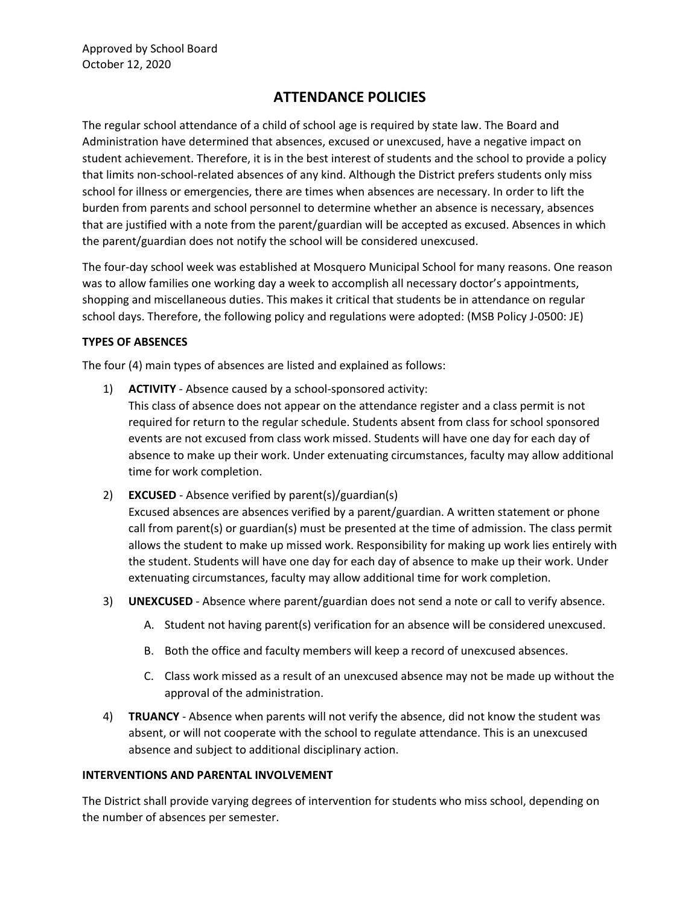# **ATTENDANCE POLICIES**

The regular school attendance of a child of school age is required by state law. The Board and Administration have determined that absences, excused or unexcused, have a negative impact on student achievement. Therefore, it is in the best interest of students and the school to provide a policy that limits non-school-related absences of any kind. Although the District prefers students only miss school for illness or emergencies, there are times when absences are necessary. In order to lift the burden from parents and school personnel to determine whether an absence is necessary, absences that are justified with a note from the parent/guardian will be accepted as excused. Absences in which the parent/guardian does not notify the school will be considered unexcused.

The four-day school week was established at Mosquero Municipal School for many reasons. One reason was to allow families one working day a week to accomplish all necessary doctor's appointments, shopping and miscellaneous duties. This makes it critical that students be in attendance on regular school days. Therefore, the following policy and regulations were adopted: (MSB Policy J-0500: JE)

#### **TYPES OF ABSENCES**

The four (4) main types of absences are listed and explained as follows:

- 1) **ACTIVITY** Absence caused by a school-sponsored activity: This class of absence does not appear on the attendance register and a class permit is not required for return to the regular schedule. Students absent from class for school sponsored events are not excused from class work missed. Students will have one day for each day of absence to make up their work. Under extenuating circumstances, faculty may allow additional time for work completion.
- 2) **EXCUSED** Absence verified by parent(s)/guardian(s) Excused absences are absences verified by a parent/guardian. A written statement or phone call from parent(s) or guardian(s) must be presented at the time of admission. The class permit allows the student to make up missed work. Responsibility for making up work lies entirely with the student. Students will have one day for each day of absence to make up their work. Under extenuating circumstances, faculty may allow additional time for work completion.
- 3) **UNEXCUSED** Absence where parent/guardian does not send a note or call to verify absence.
	- A. Student not having parent(s) verification for an absence will be considered unexcused.
	- B. Both the office and faculty members will keep a record of unexcused absences.
	- C. Class work missed as a result of an unexcused absence may not be made up without the approval of the administration.
- 4) **TRUANCY** Absence when parents will not verify the absence, did not know the student was absent, or will not cooperate with the school to regulate attendance. This is an unexcused absence and subject to additional disciplinary action.

#### **INTERVENTIONS AND PARENTAL INVOLVEMENT**

The District shall provide varying degrees of intervention for students who miss school, depending on the number of absences per semester.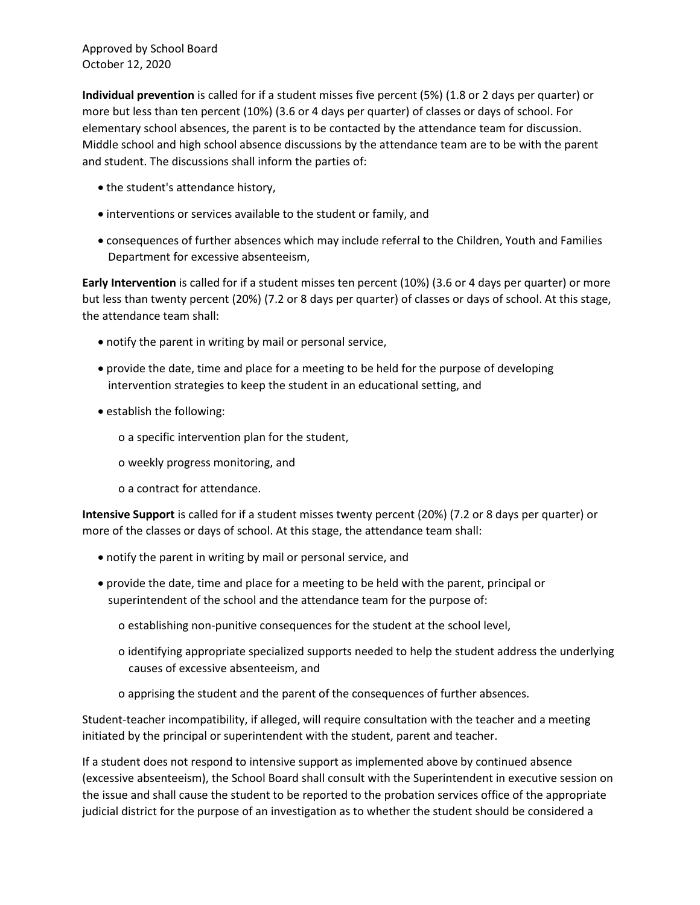Approved by School Board October 12, 2020

**Individual prevention** is called for if a student misses five percent (5%) (1.8 or 2 days per quarter) or more but less than ten percent (10%) (3.6 or 4 days per quarter) of classes or days of school. For elementary school absences, the parent is to be contacted by the attendance team for discussion. Middle school and high school absence discussions by the attendance team are to be with the parent and student. The discussions shall inform the parties of:

- the student's attendance history,
- interventions or services available to the student or family, and
- consequences of further absences which may include referral to the Children, Youth and Families Department for excessive absenteeism,

**Early Intervention** is called for if a student misses ten percent (10%) (3.6 or 4 days per quarter) or more but less than twenty percent (20%) (7.2 or 8 days per quarter) of classes or days of school. At this stage, the attendance team shall:

- notify the parent in writing by mail or personal service,
- provide the date, time and place for a meeting to be held for the purpose of developing intervention strategies to keep the student in an educational setting, and
- establish the following:
	- o a specific intervention plan for the student,
	- o weekly progress monitoring, and
	- o a contract for attendance.

**Intensive Support** is called for if a student misses twenty percent (20%) (7.2 or 8 days per quarter) or more of the classes or days of school. At this stage, the attendance team shall:

- notify the parent in writing by mail or personal service, and
- provide the date, time and place for a meeting to be held with the parent, principal or superintendent of the school and the attendance team for the purpose of:
	- o establishing non-punitive consequences for the student at the school level,
	- o identifying appropriate specialized supports needed to help the student address the underlying causes of excessive absenteeism, and
	- o apprising the student and the parent of the consequences of further absences.

Student-teacher incompatibility, if alleged, will require consultation with the teacher and a meeting initiated by the principal or superintendent with the student, parent and teacher.

If a student does not respond to intensive support as implemented above by continued absence (excessive absenteeism), the School Board shall consult with the Superintendent in executive session on the issue and shall cause the student to be reported to the probation services office of the appropriate judicial district for the purpose of an investigation as to whether the student should be considered a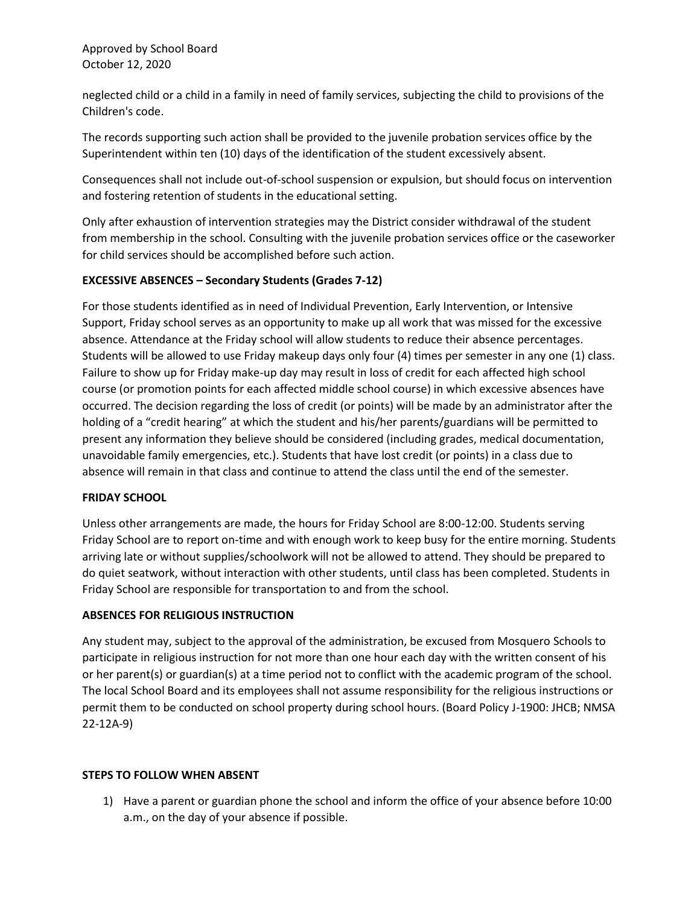Approved by School Board October 12, 2020

neglected child or a child in a family in need of family services, subjecting the child to provisions of the Children's code.

The records supporting such action shall be provided to the juvenile probation services office by the Superintendent within ten (10) days of the identification of the student excessively absent.

Consequences shall not include out-of-school suspension or expulsion, but should focus on intervention and fostering retention of students in the educational setting.

Only after exhaustion of intervention strategies may the District consider withdrawal of the student from membership in the school. Consulting with the juvenile probation services office or the caseworker for child services should be accomplished before such action.

## **EXCESSIVE ABSENCES – Secondary Students (Grades 7-12)**

For those students identified as in need of Individual Prevention, Early Intervention, or Intensive Support, Friday school serves as an opportunity to make up all work that was missed for the excessive absence. Attendance at the Friday school will allow students to reduce their absence percentages. Students will be allowed to use Friday makeup days only four (4) times per semester in any one (1) class. Failure to show up for Friday make-up day may result in loss of credit for each affected high school course (or promotion points for each affected middle school course) in which excessive absences have occurred. The decision regarding the loss of credit (or points) will be made by an administrator after the holding of a "credit hearing" at which the student and his/her parents/guardians will be permitted to present any information they believe should be considered (including grades, medical documentation, unavoidable family emergencies, etc.). Students that have lost credit (or points) in a class due to absence will remain in that class and continue to attend the class until the end of the semester.

## **FRIDAY SCHOOL**

Unless other arrangements are made, the hours for Friday School are 8:00-12:00. Students serving Friday School are to report on-time and with enough work to keep busy for the entire morning. Students arriving late or without supplies/schoolwork will not be allowed to attend. They should be prepared to do quiet seatwork, without interaction with other students, until class has been completed. Students in Friday School are responsible for transportation to and from the school.

## **ABSENCES FOR RELIGIOUS INSTRUCTION**

Any student may, subject to the approval of the administration, be excused from Mosquero Schools to participate in religious instruction for not more than one hour each day with the written consent of his or her parent(s) or guardian(s) at a time period not to conflict with the academic program of the school. The local School Board and its employees shall not assume responsibility for the religious instructions or permit them to be conducted on school property during school hours. (Board Policy J-1900: JHCB; NMSA 22-12A-9)

#### **STEPS TO FOLLOW WHEN ABSENT**

1) Have a parent or guardian phone the school and inform the office of your absence before 10:00 a.m., on the day of your absence if possible.